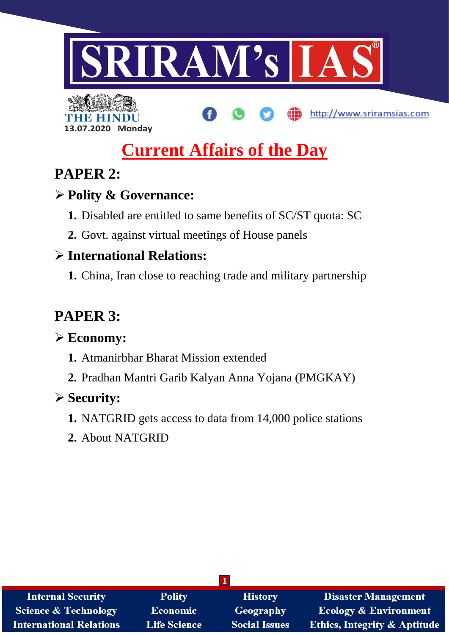

# **13.07.2020 Monday**

# **Current Affairs of the Day**

http://www.sriramsias.com

# **PAPER 2:**

# **Polity & Governance:**

- **1.** Disabled are entitled to same benefits of SC/ST quota: SC
- **2.** Govt. against virtual meetings of House panels

# **International Relations:**

**1.** China, Iran close to reaching trade and military partnership

# **PAPER 3:**

# **Economy:**

- **1.** Atmanirbhar Bharat Mission extended
- **2.** Pradhan Mantri Garib Kalyan Anna Yojana (PMGKAY)

# **Security:**

- **1.** NATGRID gets access to data from 14,000 police stations
- **2.** About NATGRID

| <b>Internal Security</b>        | <b>Polity</b>       | <b>History</b>       | <b>Disaster Management</b>              |
|---------------------------------|---------------------|----------------------|-----------------------------------------|
| <b>Science &amp; Technology</b> | <b>Economic</b>     | Geography            | <b>Ecology &amp; Environment</b>        |
| <b>International Relations</b>  | <b>Life Science</b> | <b>Social Issues</b> | <b>Ethics, Integrity &amp; Aptitude</b> |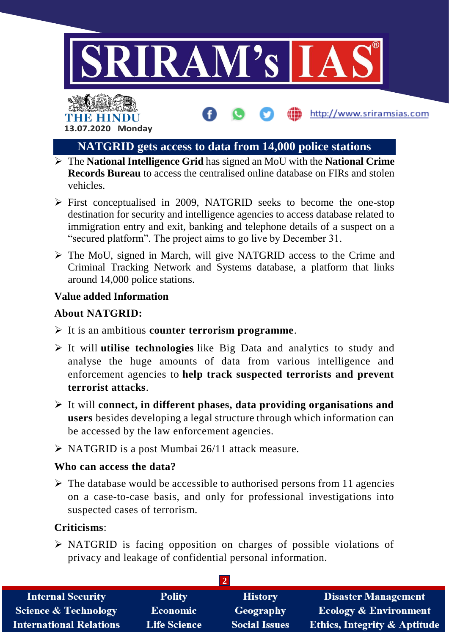



## **NATGRID gets access to data from 14,000 police stations**

http://www.sriramsias.com

- The **National Intelligence Grid** has signed an MoU with the **National Crime Records Bureau** to access the centralised online database on FIRs and stolen vehicles.
- $\triangleright$  First conceptualised in 2009, NATGRID seeks to become the one-stop destination for security and intelligence agencies to access database related to immigration entry and exit, banking and telephone details of a suspect on a "secured platform". The project aims to go live by December 31.
- The MoU, signed in March, will give NATGRID access to the Crime and Criminal Tracking Network and Systems database, a platform that links around 14,000 police stations.

### **Value added Information**

#### **About NATGRID:**

- It is an ambitious **counter terrorism programme**.
- It will **utilise technologies** like Big Data and analytics to study and analyse the huge amounts of data from various intelligence and enforcement agencies to **help track suspected terrorists and prevent terrorist attacks**.
- It will **connect, in different phases, data providing organisations and users** besides developing a legal structure through which information can be accessed by the law enforcement agencies.
- $\triangleright$  NATGRID is a post Mumbai 26/11 attack measure.

#### **Who can access the data?**

 $\triangleright$  The database would be accessible to authorised persons from 11 agencies on a case-to-case basis, and only for professional investigations into suspected cases of terrorism.

### **Criticisms**:

 NATGRID is facing opposition on charges of possible violations of privacy and leakage of confidential personal information.

| <b>Internal Security</b>        | <b>Polity</b>       | <b>History</b>       | <b>Disaster Management</b>              |
|---------------------------------|---------------------|----------------------|-----------------------------------------|
| <b>Science &amp; Technology</b> | Economic            | Geography            | <b>Ecology &amp; Environment</b>        |
| <b>International Relations</b>  | <b>Life Science</b> | <b>Social Issues</b> | <b>Ethics, Integrity &amp; Aptitude</b> |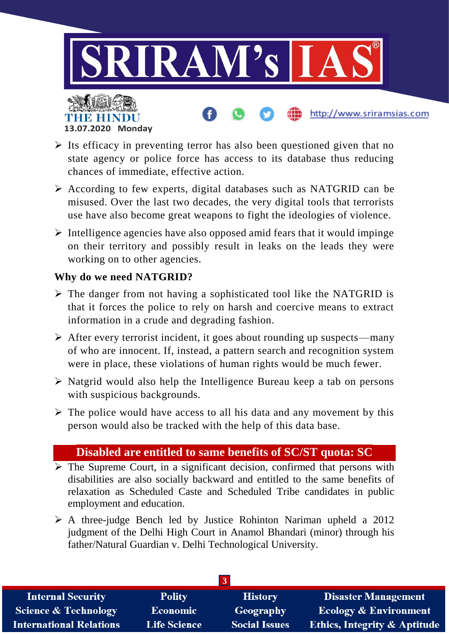

- $\triangleright$  Its efficacy in preventing terror has also been questioned given that no state agency or police force has access to its database thus reducing chances of immediate, effective action.
- $\triangleright$  According to few experts, digital databases such as NATGRID can be misused. Over the last two decades, the very digital tools that terrorists use have also become great weapons to fight the ideologies of violence.
- $\triangleright$  Intelligence agencies have also opposed amid fears that it would impinge on their territory and possibly result in leaks on the leads they were working on to other agencies.

## **Why do we need NATGRID?**

**13.07.2020 Monday**

- $\triangleright$  The danger from not having a sophisticated tool like the NATGRID is that it forces the police to rely on harsh and coercive means to extract information in a crude and degrading fashion.
- $\triangleright$  After every terrorist incident, it goes about rounding up suspects—many of who are innocent. If, instead, a pattern search and recognition system were in place, these violations of human rights would be much fewer.
- $\triangleright$  Natgrid would also help the Intelligence Bureau keep a tab on persons with suspicious backgrounds.
- $\triangleright$  The police would have access to all his data and any movement by this person would also be tracked with the help of this data base.

## **Disabled are entitled to same benefits of SC/ST quota: SC**

- $\triangleright$  The Supreme Court, in a significant decision, confirmed that persons with disabilities are also socially backward and entitled to the same benefits of relaxation as Scheduled Caste and Scheduled Tribe candidates in public employment and education.
- $\triangleright$  A three-judge Bench led by Justice Rohinton Nariman upheld a 2012 judgment of the Delhi High Court in Anamol Bhandari (minor) through his father/Natural Guardian v. Delhi Technological University.

| $\cdot$                         |                     |                      |                                         |
|---------------------------------|---------------------|----------------------|-----------------------------------------|
| <b>Internal Security</b>        | <b>Polity</b>       | <b>History</b>       | <b>Disaster Management</b>              |
| <b>Science &amp; Technology</b> | Economic            | Geography            | <b>Ecology &amp; Environment</b>        |
| <b>International Relations</b>  | <b>Life Science</b> | <b>Social Issues</b> | <b>Ethics, Integrity &amp; Aptitude</b> |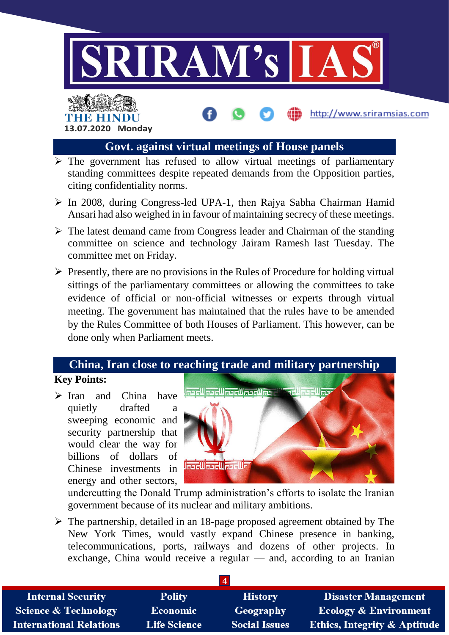

http://www.sriramsias.com

## **Govt. against virtual meetings of House panels**

- $\triangleright$  The government has refused to allow virtual meetings of parliamentary standing committees despite repeated demands from the Opposition parties, citing confidentiality norms.
- $\triangleright$  In 2008, during Congress-led UPA-1, then Rajya Sabha Chairman Hamid Ansari had also weighed in in favour of maintaining secrecy of these meetings.
- $\triangleright$  The latest demand came from Congress leader and Chairman of the standing committee on science and technology Jairam Ramesh last Tuesday. The committee met on Friday.
- $\triangleright$  Presently, there are no provisions in the Rules of Procedure for holding virtual sittings of the parliamentary committees or allowing the committees to take evidence of official or non-official witnesses or experts through virtual meeting. The government has maintained that the rules have to be amended by the Rules Committee of both Houses of Parliament. This however, can be done only when Parliament meets.

# **China, Iran close to reaching trade and military partnership**

## **Key Points:**

 $\triangleright$  Iran and China have quietly drafted a sweeping economic and security partnership that would clear the way for billions of dollars of Chinese investments in energy and other sectors,

**13.07.2020 Monday**

THE HINDL



undercutting the Donald Trump administration's efforts to isolate the Iranian government because of its nuclear and military ambitions.

 The partnership, detailed in an 18-page proposed agreement obtained by The New York Times, would vastly expand Chinese presence in banking, telecommunications, ports, railways and dozens of other projects. In exchange, China would receive a regular — and, according to an Iranian

| <b>Internal Security</b>        | <b>Polity</b>       | <b>History</b>       | <b>Disaster Management</b>              |
|---------------------------------|---------------------|----------------------|-----------------------------------------|
| <b>Science &amp; Technology</b> | Economic            | Geography            | <b>Ecology &amp; Environment</b>        |
| <b>International Relations</b>  | <b>Life Science</b> | <b>Social Issues</b> | <b>Ethics, Integrity &amp; Aptitude</b> |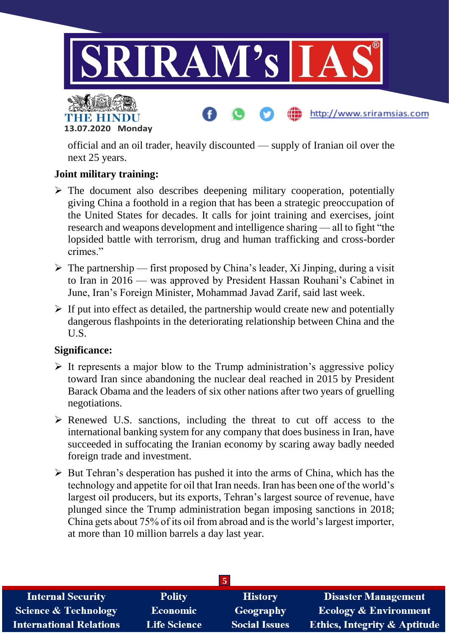

http://www.sriramsias.com



official and an oil trader, heavily discounted — supply of Iranian oil over the next 25 years.

## **Joint military training:**

- $\triangleright$  The document also describes deepening military cooperation, potentially giving China a foothold in a region that has been a strategic preoccupation of the United States for decades. It calls for joint training and exercises, joint research and weapons development and intelligence sharing — all to fight "the lopsided battle with terrorism, drug and human trafficking and cross-border crimes."
- $\triangleright$  The partnership first proposed by China's leader, Xi Jinping, during a visit to Iran in 2016 — was approved by President Hassan Rouhani's Cabinet in June, Iran's Foreign Minister, Mohammad Javad Zarif, said last week.
- $\triangleright$  If put into effect as detailed, the partnership would create new and potentially dangerous flashpoints in the deteriorating relationship between China and the U.S.

### **Significance:**

- $\triangleright$  It represents a major blow to the Trump administration's aggressive policy toward Iran since abandoning the nuclear deal reached in 2015 by President Barack Obama and the leaders of six other nations after two years of gruelling negotiations.
- $\triangleright$  Renewed U.S. sanctions, including the threat to cut off access to the international banking system for any company that does business in Iran, have succeeded in suffocating the Iranian economy by scaring away badly needed foreign trade and investment.
- $\triangleright$  But Tehran's desperation has pushed it into the arms of China, which has the technology and appetite for oil that Iran needs. Iran has been one of the world's largest oil producers, but its exports, Tehran's largest source of revenue, have plunged since the Trump administration began imposing sanctions in 2018; China gets about 75% of its oil from abroad and is the world's largest importer, at more than 10 million barrels a day last year.

| <b>Internal Security</b>        | <b>Polity</b>       | <b>History</b>       | Disaster Management                     |
|---------------------------------|---------------------|----------------------|-----------------------------------------|
| <b>Science &amp; Technology</b> | Economic            | Geography            | <b>Ecology &amp; Environment</b>        |
| <b>International Relations</b>  | <b>Life Science</b> | <b>Social Issues</b> | <b>Ethics, Integrity &amp; Aptitude</b> |